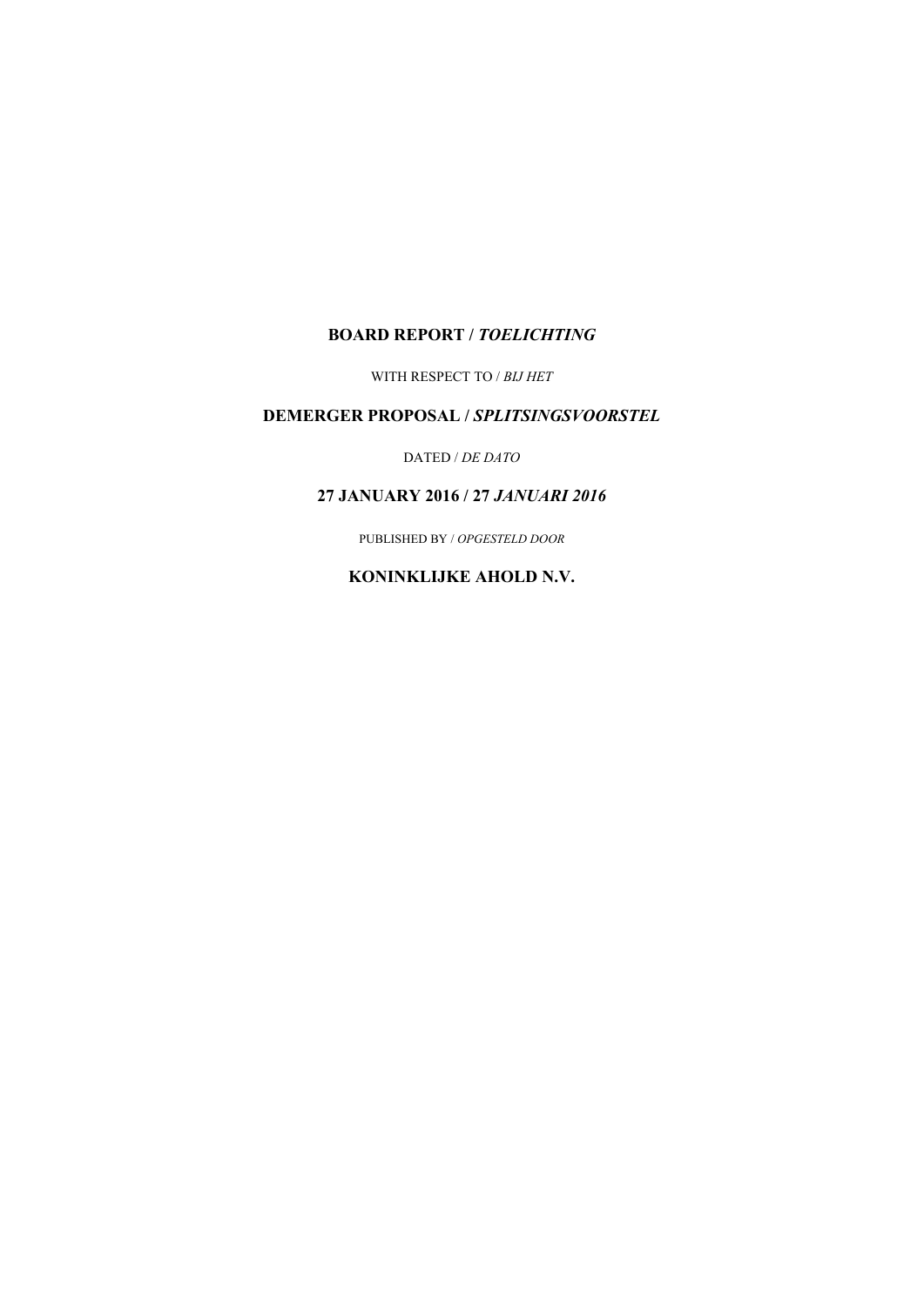## **BOARD REPORT /** *TOELICHTING*

WITH RESPECT TO / *BIJ HET*

### **DEMERGER PROPOSAL /** *SPLITSINGSVOORSTEL*

DATED / *DE DATO*

# **27 JANUARY 2016 / 27** *JANUARI 2016*

PUBLISHED BY / *OPGESTELD DOOR*

# **KONINKLIJKE AHOLD N.V. KONINKLIJKE AHOLD N.V.**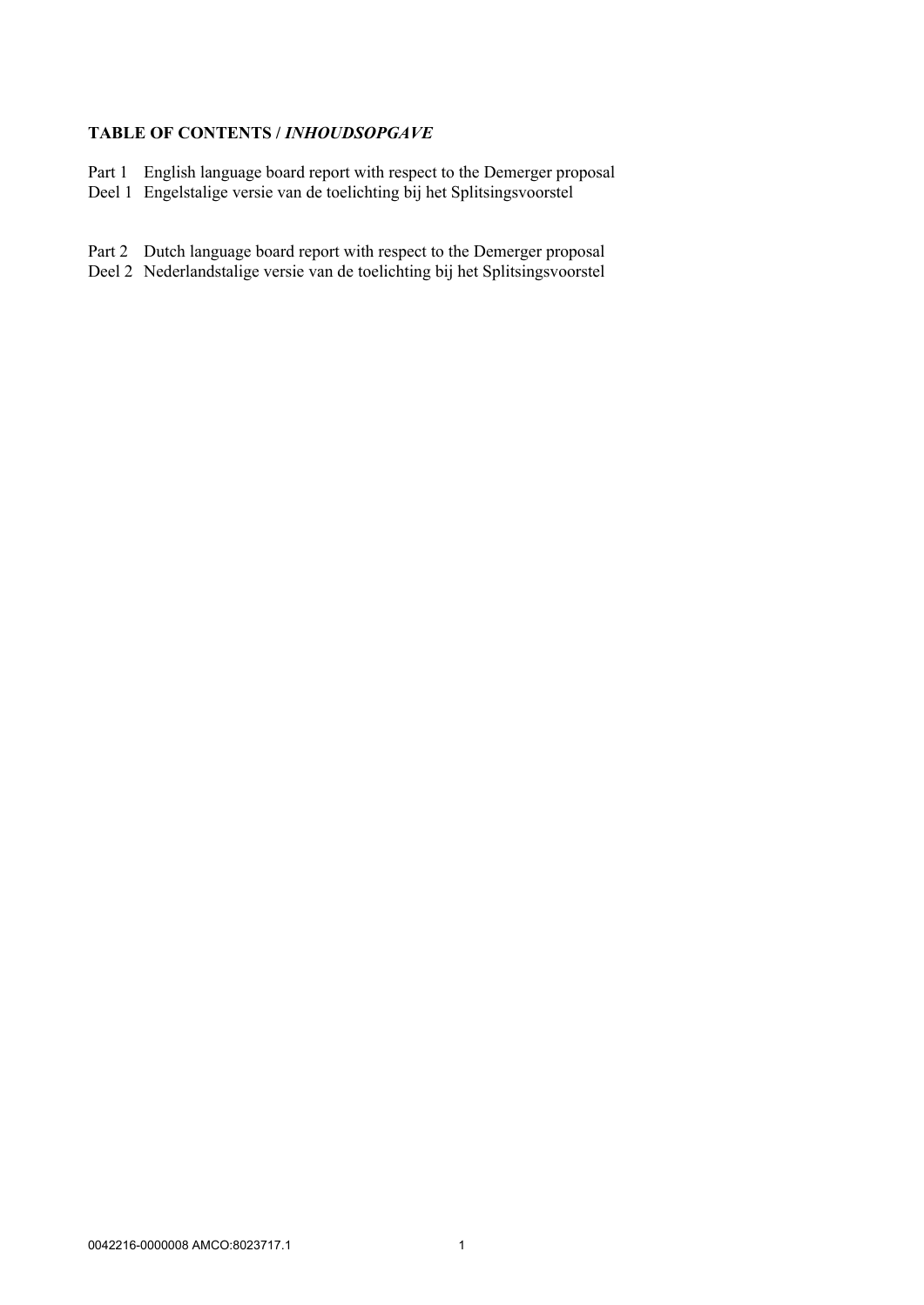# **TABLE OF CONTENTS /** *INHOUDSOPGAVE*

- Part 1 English language board report with respect to the Demerger proposal
- Deel 1 Engelstalige versie van de toelichting bij het Splitsingsvoorstel
- Part 2 Dutch language board report with respect to the Demerger proposal
- Deel 2 Nederlandstalige versie van de toelichting bij het Splitsingsvoorstel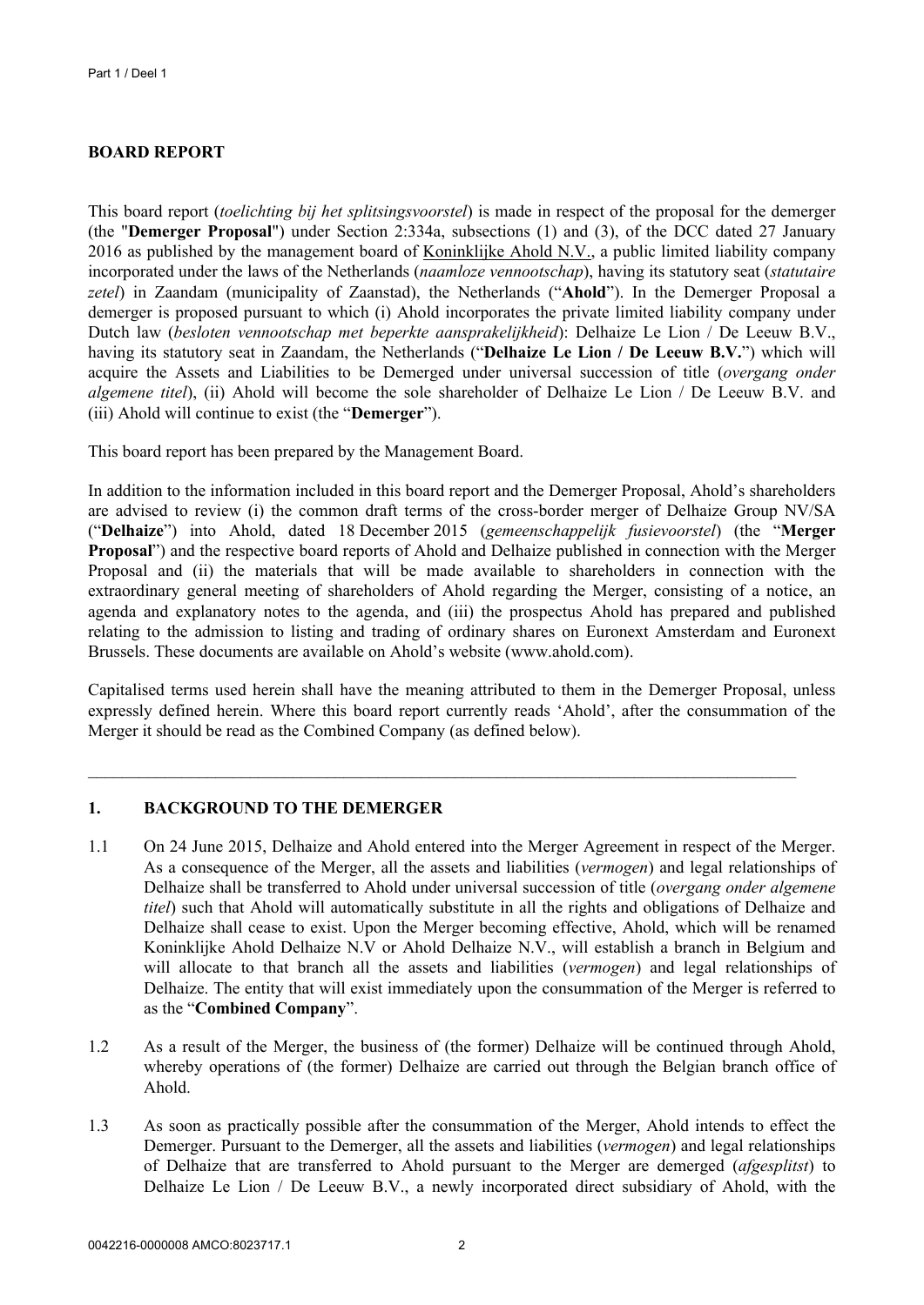#### **BOARD REPORT**

This board report (*toelichting bij het splitsingsvoorstel*) is made in respect of the proposal for the demerger (the "**Demerger Proposal**") under Section 2:334a, subsections (1) and (3), of the DCC dated 27 January 2016 as published by the management board of Koninklijke Ahold N.V., a public limited liability company incorporated under the laws of the Netherlands (*naamloze vennootschap*), having its statutory seat (*statutaire zetel*) in Zaandam (municipality of Zaanstad), the Netherlands ("**Ahold**"). In the Demerger Proposal a demerger is proposed pursuant to which (i) Ahold incorporates the private limited liability company under Dutch law (*besloten vennootschap met beperkte aansprakelijkheid*): Delhaize Le Lion / De Leeuw B.V., having its statutory seat in Zaandam, the Netherlands ("**Delhaize Le Lion / De Leeuw B.V.**") which will acquire the Assets and Liabilities to be Demerged under universal succession of title (*overgang onder algemene titel*), (ii) Ahold will become the sole shareholder of Delhaize Le Lion / De Leeuw B.V. and (iii) Ahold will continue to exist (the "**Demerger**").

This board report has been prepared by the Management Board.

In addition to the information included in this board report and the Demerger Proposal, Ahold's shareholders are advised to review (i) the common draft terms of the cross-border merger of Delhaize Group NV/SA ("**Delhaize**") into Ahold, dated 18 December 2015 (*gemeenschappelijk fusievoorstel*) (the "**Merger Proposal**") and the respective board reports of Ahold and Delhaize published in connection with the Merger Proposal and (ii) the materials that will be made available to shareholders in connection with the extraordinary general meeting of shareholders of Ahold regarding the Merger, consisting of a notice, an agenda and explanatory notes to the agenda, and (iii) the prospectus Ahold has prepared and published relating to the admission to listing and trading of ordinary shares on Euronext Amsterdam and Euronext Brussels. These documents are available on Ahold's website (www.ahold.com).

Capitalised terms used herein shall have the meaning attributed to them in the Demerger Proposal, unless expressly defined herein. Where this board report currently reads 'Ahold', after the consummation of the Merger it should be read as the Combined Company (as defined below).

 $\mathcal{L}_\mathcal{L} = \{ \mathcal{L}_\mathcal{L} = \{ \mathcal{L}_\mathcal{L} = \{ \mathcal{L}_\mathcal{L} = \{ \mathcal{L}_\mathcal{L} = \{ \mathcal{L}_\mathcal{L} = \{ \mathcal{L}_\mathcal{L} = \{ \mathcal{L}_\mathcal{L} = \{ \mathcal{L}_\mathcal{L} = \{ \mathcal{L}_\mathcal{L} = \{ \mathcal{L}_\mathcal{L} = \{ \mathcal{L}_\mathcal{L} = \{ \mathcal{L}_\mathcal{L} = \{ \mathcal{L}_\mathcal{L} = \{ \mathcal{L}_\mathcal{$ 

### **1. BACKGROUND TO THE DEMERGER**

- 1.1 On 24 June 2015, Delhaize and Ahold entered into the Merger Agreement in respect of the Merger. As a consequence of the Merger, all the assets and liabilities (*vermogen*) and legal relationships of Delhaize shall be transferred to Ahold under universal succession of title (*overgang onder algemene titel*) such that Ahold will automatically substitute in all the rights and obligations of Delhaize and Delhaize shall cease to exist. Upon the Merger becoming effective, Ahold, which will be renamed Koninklijke Ahold Delhaize N.V or Ahold Delhaize N.V., will establish a branch in Belgium and will allocate to that branch all the assets and liabilities (*vermogen*) and legal relationships of Delhaize. The entity that will exist immediately upon the consummation of the Merger is referred to as the "**Combined Company**".
- 1.2 As a result of the Merger, the business of (the former) Delhaize will be continued through Ahold, whereby operations of (the former) Delhaize are carried out through the Belgian branch office of Ahold.
- 1.3 As soon as practically possible after the consummation of the Merger, Ahold intends to effect the Demerger. Pursuant to the Demerger, all the assets and liabilities (*vermogen*) and legal relationships of Delhaize that are transferred to Ahold pursuant to the Merger are demerged (*afgesplitst*) to Delhaize Le Lion / De Leeuw B.V., a newly incorporated direct subsidiary of Ahold, with the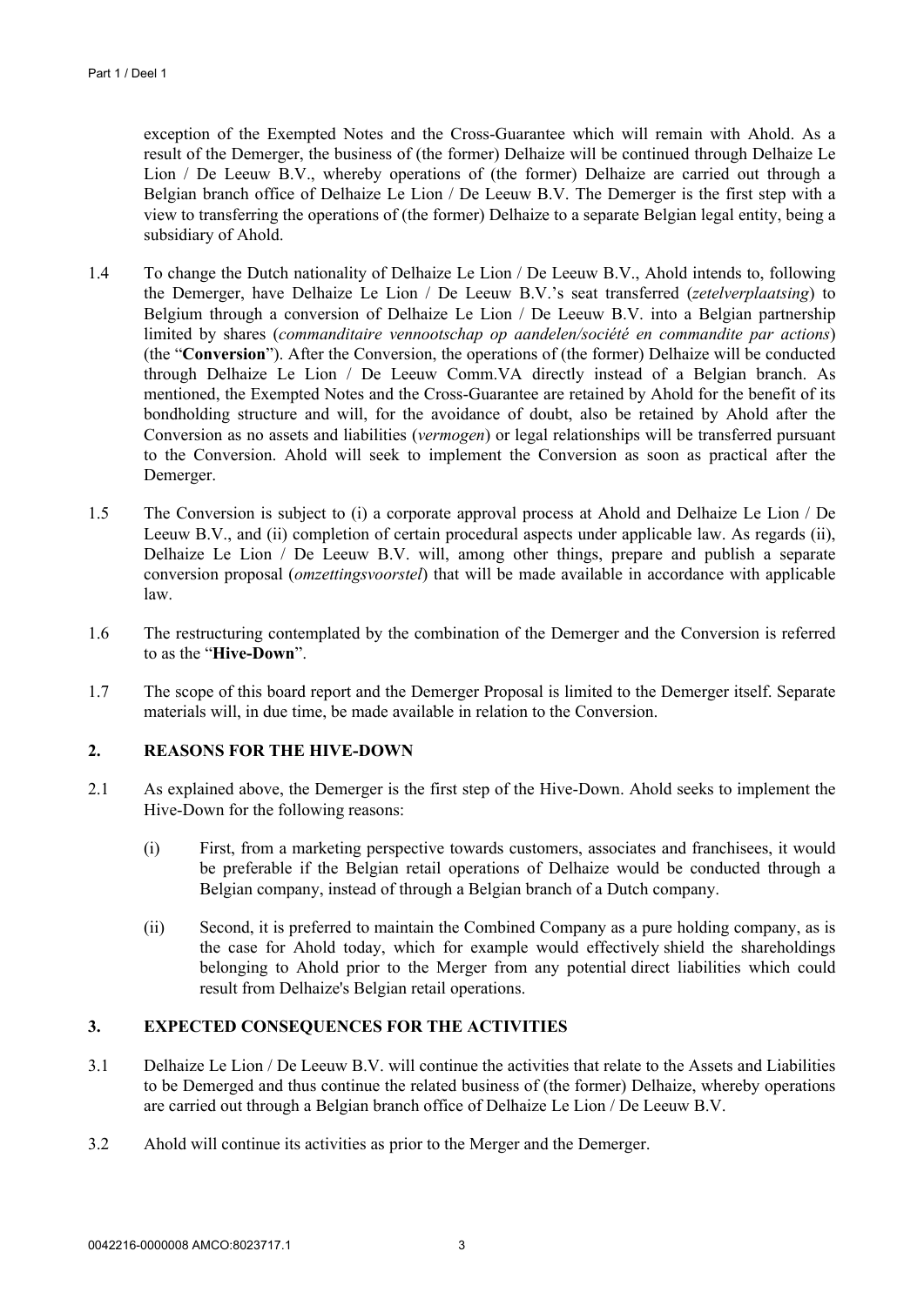exception of the Exempted Notes and the Cross-Guarantee which will remain with Ahold. As a result of the Demerger, the business of (the former) Delhaize will be continued through Delhaize Le Lion / De Leeuw B.V., whereby operations of (the former) Delhaize are carried out through a Belgian branch office of Delhaize Le Lion / De Leeuw B.V. The Demerger is the first step with a view to transferring the operations of (the former) Delhaize to a separate Belgian legal entity, being a subsidiary of Ahold.

- 1.4 To change the Dutch nationality of Delhaize Le Lion / De Leeuw B.V., Ahold intends to, following the Demerger, have Delhaize Le Lion / De Leeuw B.V.'s seat transferred (*zetelverplaatsing*) to Belgium through a conversion of Delhaize Le Lion / De Leeuw B.V. into a Belgian partnership limited by shares (*commanditaire vennootschap op aandelen/société en commandite par actions*) (the "**Conversion**"). After the Conversion, the operations of (the former) Delhaize will be conducted through Delhaize Le Lion / De Leeuw Comm.VA directly instead of a Belgian branch. As mentioned, the Exempted Notes and the Cross-Guarantee are retained by Ahold for the benefit of its bondholding structure and will, for the avoidance of doubt, also be retained by Ahold after the Conversion as no assets and liabilities (*vermogen*) or legal relationships will be transferred pursuant to the Conversion. Ahold will seek to implement the Conversion as soon as practical after the Demerger.
- 1.5 The Conversion is subject to (i) a corporate approval process at Ahold and Delhaize Le Lion / De Leeuw B.V., and (ii) completion of certain procedural aspects under applicable law. As regards (ii), Delhaize Le Lion / De Leeuw B.V. will, among other things, prepare and publish a separate conversion proposal (*omzettingsvoorstel*) that will be made available in accordance with applicable law.
- 1.6 The restructuring contemplated by the combination of the Demerger and the Conversion is referred to as the "**Hive-Down**".
- 1.7 The scope of this board report and the Demerger Proposal is limited to the Demerger itself. Separate materials will, in due time, be made available in relation to the Conversion.

#### **2. REASONS FOR THE HIVE-DOWN**

- 2.1 As explained above, the Demerger is the first step of the Hive-Down. Ahold seeks to implement the Hive-Down for the following reasons:
	- (i) First, from a marketing perspective towards customers, associates and franchisees, it would be preferable if the Belgian retail operations of Delhaize would be conducted through a Belgian company, instead of through a Belgian branch of a Dutch company.
	- (ii) Second, it is preferred to maintain the Combined Company as a pure holding company, as is the case for Ahold today, which for example would effectively shield the shareholdings belonging to Ahold prior to the Merger from any potential direct liabilities which could result from Delhaize's Belgian retail operations.

## **3. EXPECTED CONSEQUENCES FOR THE ACTIVITIES**

- 3.1 Delhaize Le Lion / De Leeuw B.V. will continue the activities that relate to the Assets and Liabilities to be Demerged and thus continue the related business of (the former) Delhaize, whereby operations are carried out through a Belgian branch office of Delhaize Le Lion / De Leeuw B.V.
- 3.2 Ahold will continue its activities as prior to the Merger and the Demerger.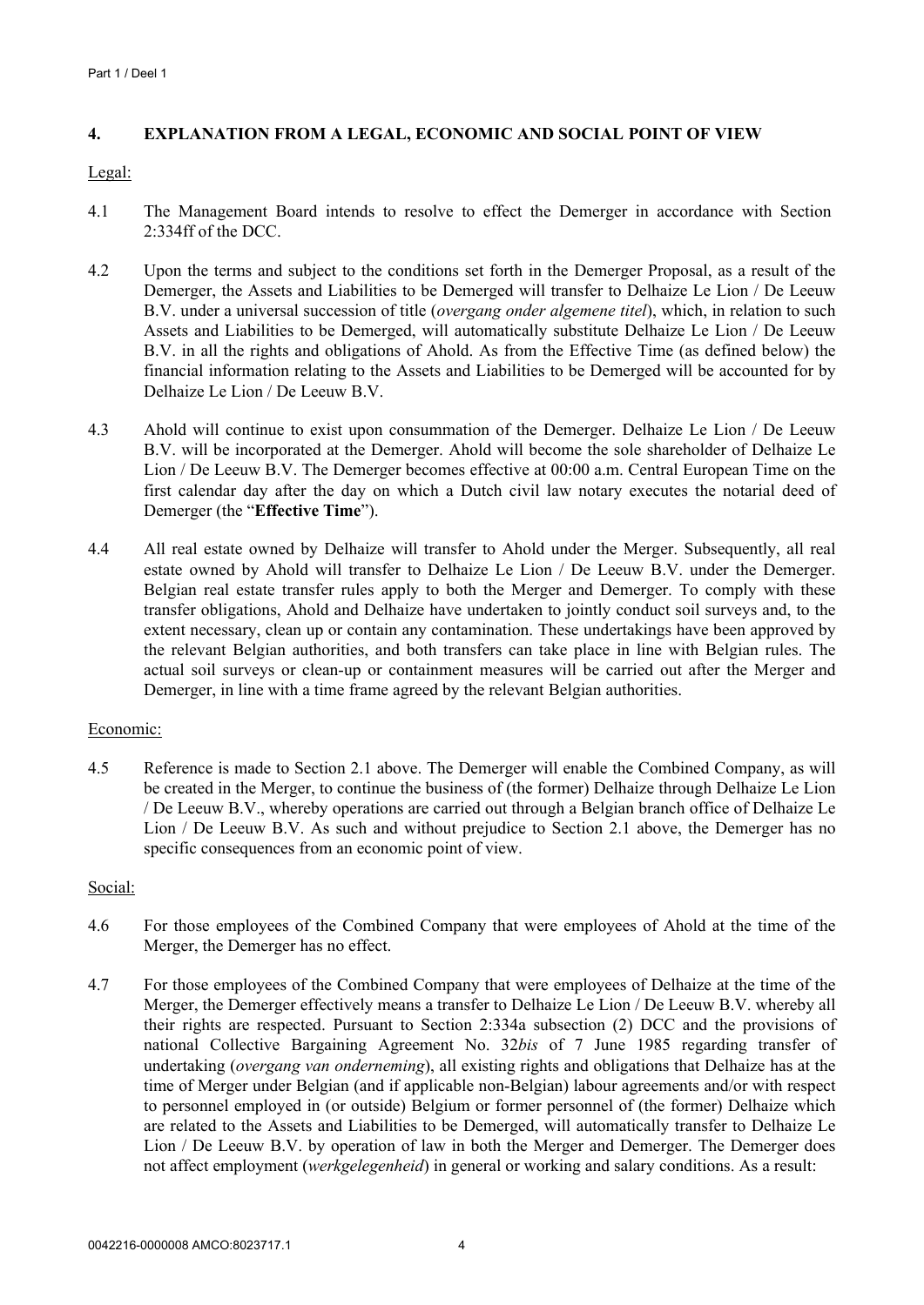# **4. EXPLANATION FROM A LEGAL, ECONOMIC AND SOCIAL POINT OF VIEW**

Legal:

- 4.1 The Management Board intends to resolve to effect the Demerger in accordance with Section 2:334ff of the DCC.
- 4.2 Upon the terms and subject to the conditions set forth in the Demerger Proposal, as a result of the Demerger, the Assets and Liabilities to be Demerged will transfer to Delhaize Le Lion / De Leeuw B.V. under a universal succession of title (*overgang onder algemene titel*), which, in relation to such Assets and Liabilities to be Demerged, will automatically substitute Delhaize Le Lion / De Leeuw B.V. in all the rights and obligations of Ahold. As from the Effective Time (as defined below) the financial information relating to the Assets and Liabilities to be Demerged will be accounted for by Delhaize Le Lion / De Leeuw B.V.
- 4.3 Ahold will continue to exist upon consummation of the Demerger. Delhaize Le Lion / De Leeuw B.V. will be incorporated at the Demerger. Ahold will become the sole shareholder of Delhaize Le Lion / De Leeuw B.V. The Demerger becomes effective at 00:00 a.m. Central European Time on the first calendar day after the day on which a Dutch civil law notary executes the notarial deed of Demerger (the "**Effective Time**").
- 4.4 All real estate owned by Delhaize will transfer to Ahold under the Merger. Subsequently, all real estate owned by Ahold will transfer to Delhaize Le Lion / De Leeuw B.V. under the Demerger. Belgian real estate transfer rules apply to both the Merger and Demerger. To comply with these transfer obligations, Ahold and Delhaize have undertaken to jointly conduct soil surveys and, to the extent necessary, clean up or contain any contamination. These undertakings have been approved by the relevant Belgian authorities, and both transfers can take place in line with Belgian rules. The actual soil surveys or clean-up or containment measures will be carried out after the Merger and Demerger, in line with a time frame agreed by the relevant Belgian authorities.

#### Economic:

4.5 Reference is made to Section 2.1 above. The Demerger will enable the Combined Company, as will be created in the Merger, to continue the business of (the former) Delhaize through Delhaize Le Lion / De Leeuw B.V., whereby operations are carried out through a Belgian branch office of Delhaize Le Lion / De Leeuw B.V. As such and without prejudice to Section 2.1 above, the Demerger has no specific consequences from an economic point of view.

#### Social:

- 4.6 For those employees of the Combined Company that were employees of Ahold at the time of the Merger, the Demerger has no effect.
- 4.7 For those employees of the Combined Company that were employees of Delhaize at the time of the Merger, the Demerger effectively means a transfer to Delhaize Le Lion / De Leeuw B.V. whereby all their rights are respected. Pursuant to Section 2:334a subsection (2) DCC and the provisions of national Collective Bargaining Agreement No. 32*bis* of 7 June 1985 regarding transfer of undertaking (*overgang van onderneming*), all existing rights and obligations that Delhaize has at the time of Merger under Belgian (and if applicable non-Belgian) labour agreements and/or with respect to personnel employed in (or outside) Belgium or former personnel of (the former) Delhaize which are related to the Assets and Liabilities to be Demerged, will automatically transfer to Delhaize Le Lion / De Leeuw B.V. by operation of law in both the Merger and Demerger. The Demerger does not affect employment (*werkgelegenheid*) in general or working and salary conditions. As a result: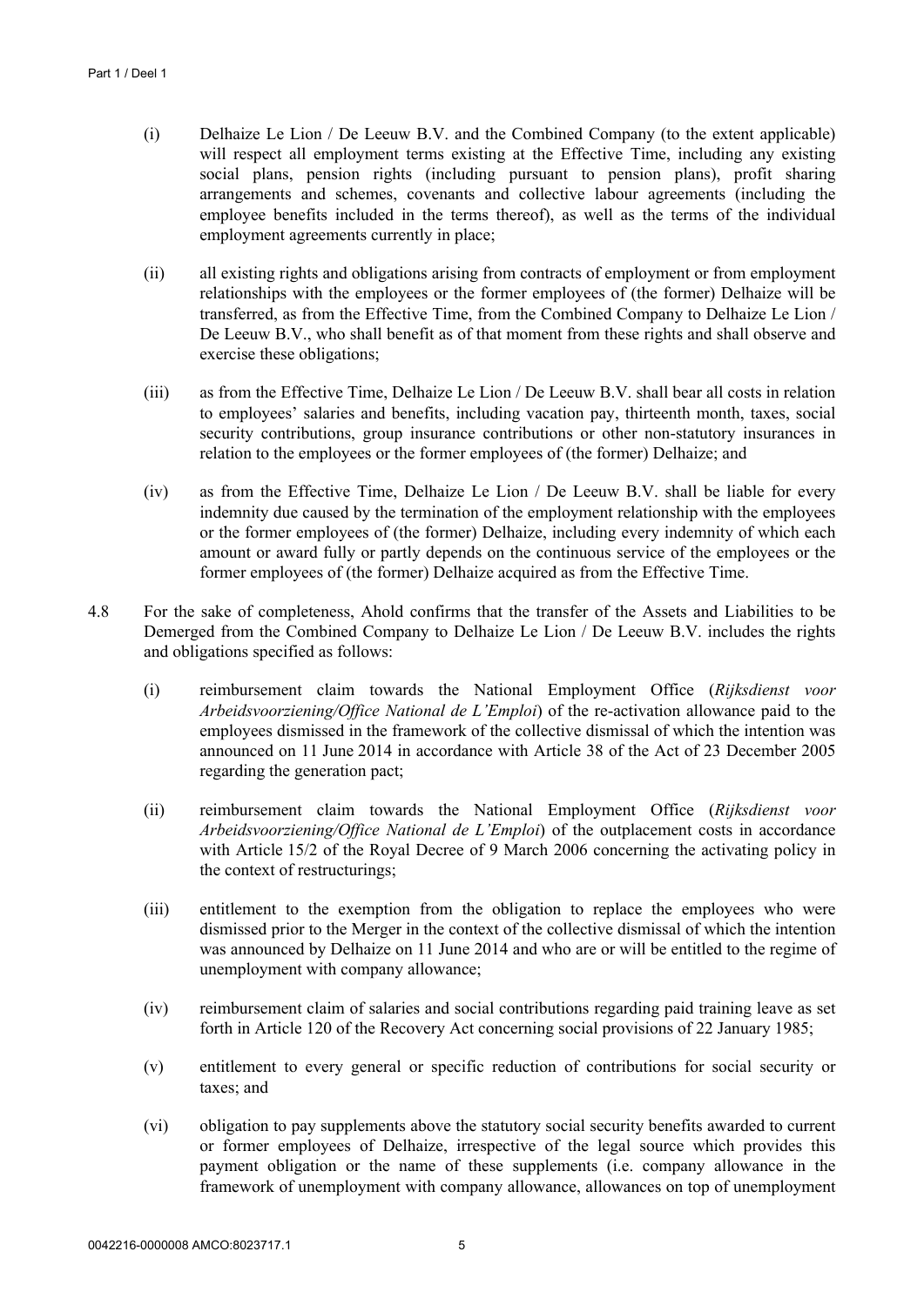- (i) Delhaize Le Lion / De Leeuw B.V. and the Combined Company (to the extent applicable) will respect all employment terms existing at the Effective Time, including any existing social plans, pension rights (including pursuant to pension plans), profit sharing arrangements and schemes, covenants and collective labour agreements (including the employee benefits included in the terms thereof), as well as the terms of the individual employment agreements currently in place;
- (ii) all existing rights and obligations arising from contracts of employment or from employment relationships with the employees or the former employees of (the former) Delhaize will be transferred, as from the Effective Time, from the Combined Company to Delhaize Le Lion / De Leeuw B.V., who shall benefit as of that moment from these rights and shall observe and exercise these obligations;
- (iii) as from the Effective Time, Delhaize Le Lion / De Leeuw B.V. shall bear all costs in relation to employees' salaries and benefits, including vacation pay, thirteenth month, taxes, social security contributions, group insurance contributions or other non-statutory insurances in relation to the employees or the former employees of (the former) Delhaize; and
- (iv) as from the Effective Time, Delhaize Le Lion / De Leeuw B.V. shall be liable for every indemnity due caused by the termination of the employment relationship with the employees or the former employees of (the former) Delhaize, including every indemnity of which each amount or award fully or partly depends on the continuous service of the employees or the former employees of (the former) Delhaize acquired as from the Effective Time.
- 4.8 For the sake of completeness, Ahold confirms that the transfer of the Assets and Liabilities to be Demerged from the Combined Company to Delhaize Le Lion / De Leeuw B.V. includes the rights and obligations specified as follows:
	- (i) reimbursement claim towards the National Employment Office (*Rijksdienst voor Arbeidsvoorziening/Office National de L'Emploi*) of the re-activation allowance paid to the employees dismissed in the framework of the collective dismissal of which the intention was announced on 11 June 2014 in accordance with Article 38 of the Act of 23 December 2005 regarding the generation pact;
	- (ii) reimbursement claim towards the National Employment Office (*Rijksdienst voor Arbeidsvoorziening/Office National de L'Emploi*) of the outplacement costs in accordance with Article 15/2 of the Royal Decree of 9 March 2006 concerning the activating policy in the context of restructurings;
	- (iii) entitlement to the exemption from the obligation to replace the employees who were dismissed prior to the Merger in the context of the collective dismissal of which the intention was announced by Delhaize on 11 June 2014 and who are or will be entitled to the regime of unemployment with company allowance;
	- (iv) reimbursement claim of salaries and social contributions regarding paid training leave as set forth in Article 120 of the Recovery Act concerning social provisions of 22 January 1985;
	- (v) entitlement to every general or specific reduction of contributions for social security or taxes; and
	- (vi) obligation to pay supplements above the statutory social security benefits awarded to current or former employees of Delhaize, irrespective of the legal source which provides this payment obligation or the name of these supplements (i.e. company allowance in the framework of unemployment with company allowance, allowances on top of unemployment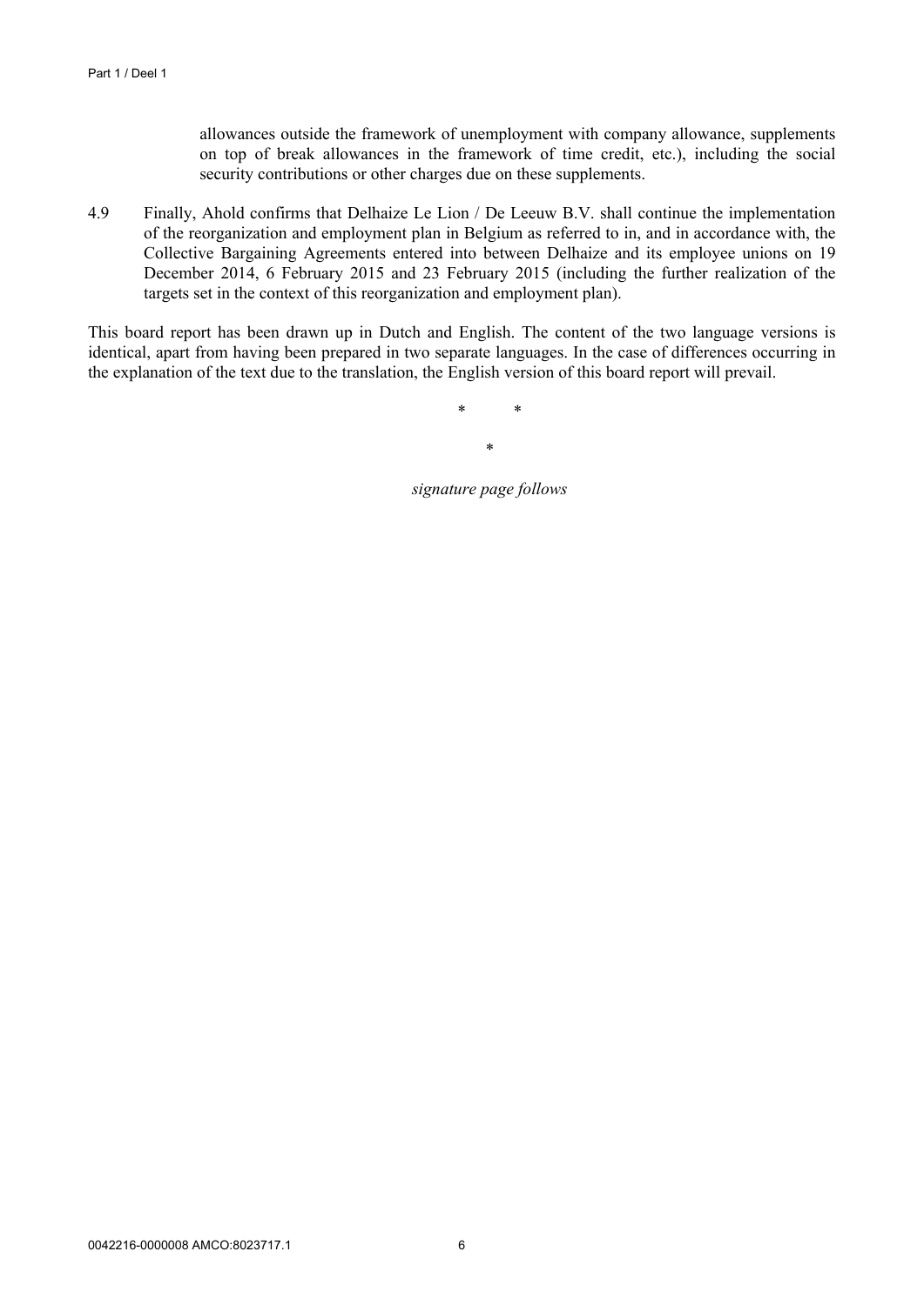allowances outside the framework of unemployment with company allowance, supplements on top of break allowances in the framework of time credit, etc.), including the social security contributions or other charges due on these supplements.

4.9 Finally, Ahold confirms that Delhaize Le Lion / De Leeuw B.V. shall continue the implementation of the reorganization and employment plan in Belgium as referred to in, and in accordance with, the Collective Bargaining Agreements entered into between Delhaize and its employee unions on 19 December 2014, 6 February 2015 and 23 February 2015 (including the further realization of the targets set in the context of this reorganization and employment plan).

This board report has been drawn up in Dutch and English. The content of the two language versions is identical, apart from having been prepared in two separate languages. In the case of differences occurring in the explanation of the text due to the translation, the English version of this board report will prevail.

\* \*

\*

*signature page follows*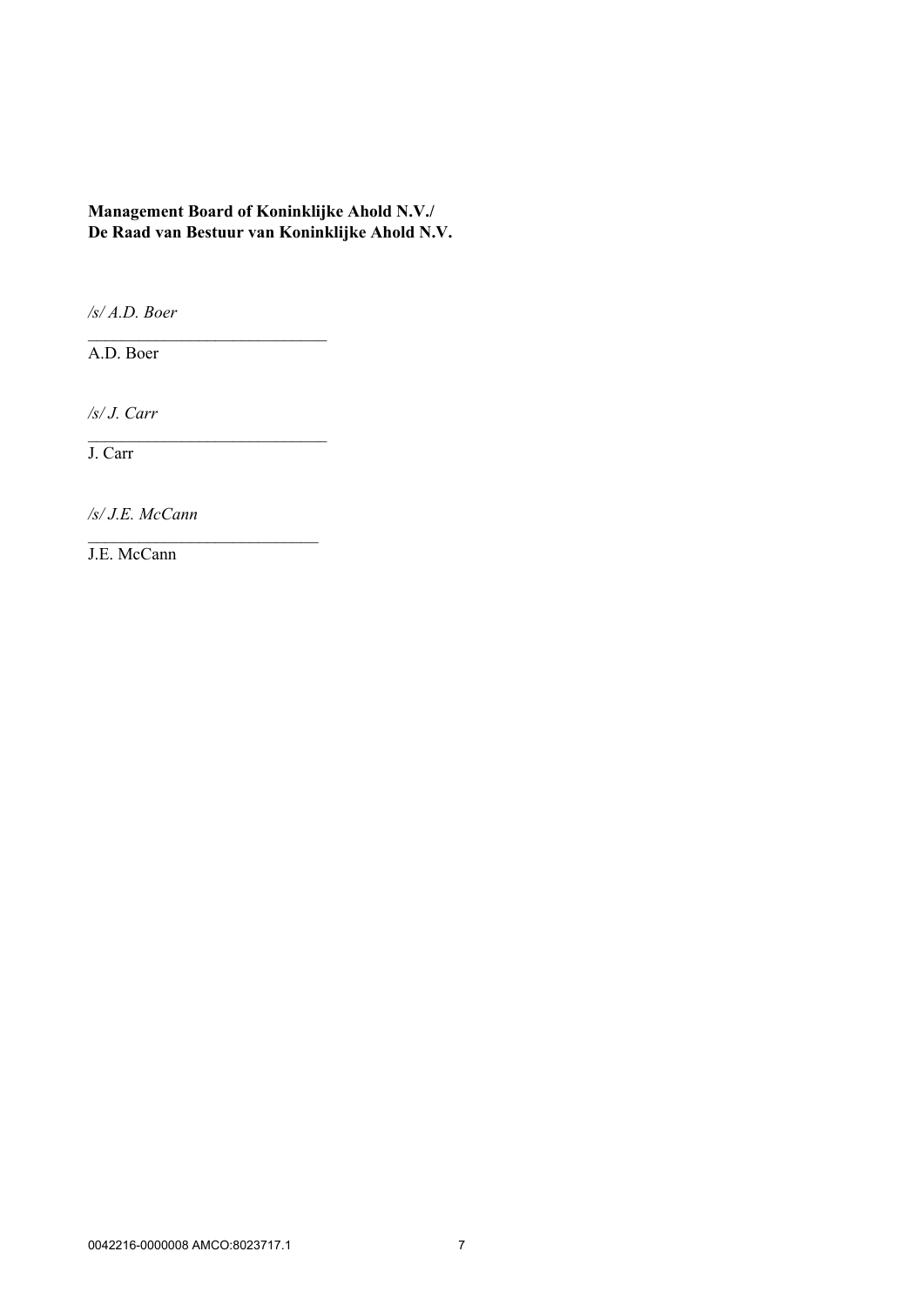## **Management Board of Koninklijke Ahold N.V./ De Raad van Bestuur van Koninklijke Ahold N.V.**

*/s/ A.D. Boer* 

 $\mathcal{L}_\text{max}$  , where  $\mathcal{L}_\text{max}$  is the set of the set of the set of the set of the set of the set of the set of the set of the set of the set of the set of the set of the set of the set of the set of the set of the se

 $\mathcal{L}_\text{max}$ 

A.D. Boer

*/s/ J. Carr*

J. Carr

*/s/ J.E. McCann*

J.E. McCann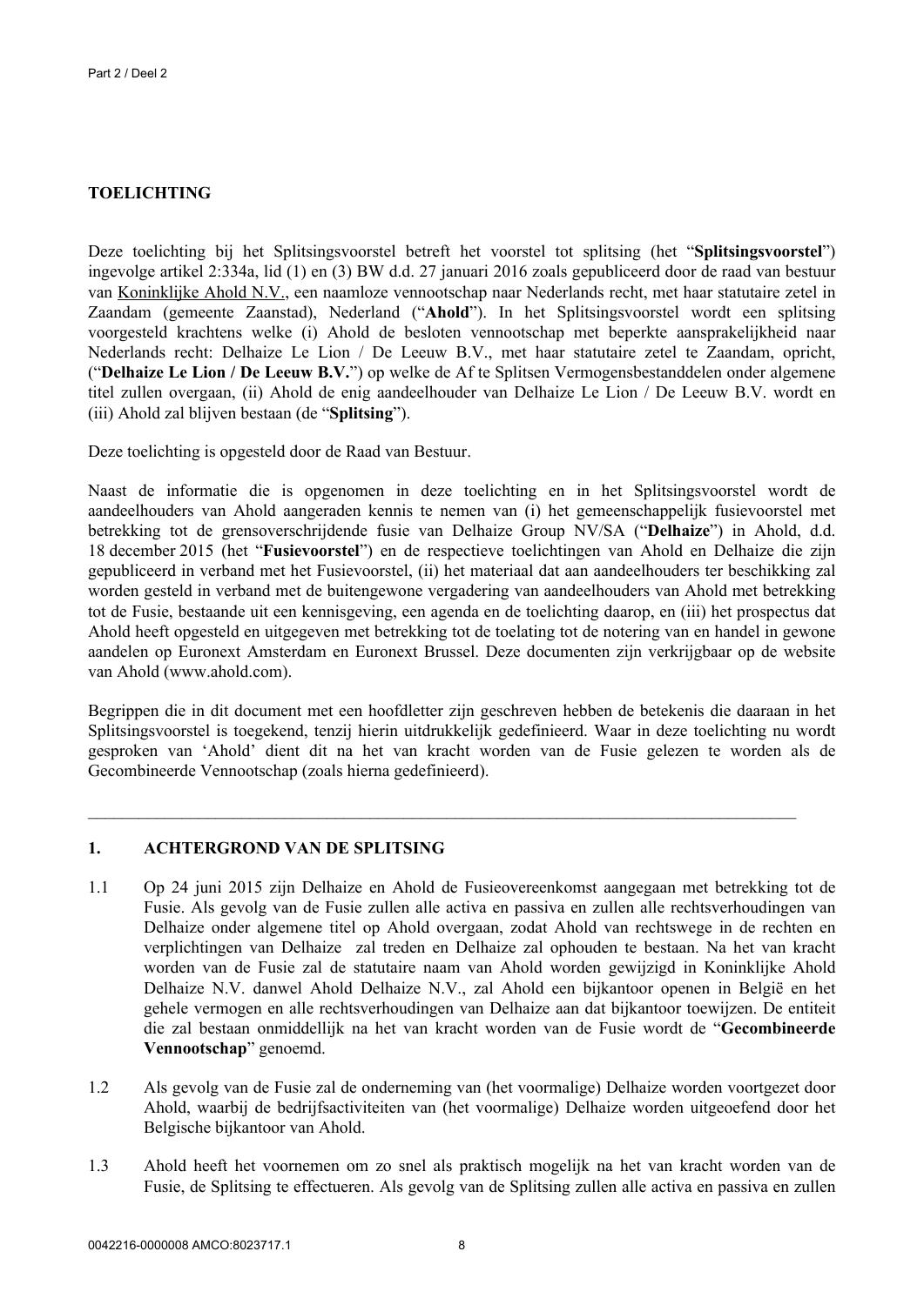### **TOELICHTING**

Deze toelichting bij het Splitsingsvoorstel betreft het voorstel tot splitsing (het "**Splitsingsvoorstel**") ingevolge artikel 2:334a, lid (1) en (3) BW d.d. 27 januari 2016 zoals gepubliceerd door de raad van bestuur van Koninklijke Ahold N.V., een naamloze vennootschap naar Nederlands recht, met haar statutaire zetel in Zaandam (gemeente Zaanstad), Nederland ("**Ahold**"). In het Splitsingsvoorstel wordt een splitsing voorgesteld krachtens welke (i) Ahold de besloten vennootschap met beperkte aansprakelijkheid naar Nederlands recht: Delhaize Le Lion / De Leeuw B.V., met haar statutaire zetel te Zaandam, opricht, ("**Delhaize Le Lion / De Leeuw B.V.**") op welke de Af te Splitsen Vermogensbestanddelen onder algemene titel zullen overgaan, (ii) Ahold de enig aandeelhouder van Delhaize Le Lion / De Leeuw B.V. wordt en (iii) Ahold zal blijven bestaan (de "**Splitsing**").

Deze toelichting is opgesteld door de Raad van Bestuur.

Naast de informatie die is opgenomen in deze toelichting en in het Splitsingsvoorstel wordt de aandeelhouders van Ahold aangeraden kennis te nemen van (i) het gemeenschappelijk fusievoorstel met betrekking tot de grensoverschrijdende fusie van Delhaize Group NV/SA ("**Delhaize**") in Ahold, d.d. 18 december 2015 (het "**Fusievoorstel**") en de respectieve toelichtingen van Ahold en Delhaize die zijn gepubliceerd in verband met het Fusievoorstel, (ii) het materiaal dat aan aandeelhouders ter beschikking zal worden gesteld in verband met de buitengewone vergadering van aandeelhouders van Ahold met betrekking tot de Fusie, bestaande uit een kennisgeving, een agenda en de toelichting daarop, en (iii) het prospectus dat Ahold heeft opgesteld en uitgegeven met betrekking tot de toelating tot de notering van en handel in gewone aandelen op Euronext Amsterdam en Euronext Brussel. Deze documenten zijn verkrijgbaar op de website van Ahold (www.ahold.com).

Begrippen die in dit document met een hoofdletter zijn geschreven hebben de betekenis die daaraan in het Splitsingsvoorstel is toegekend, tenzij hierin uitdrukkelijk gedefinieerd. Waar in deze toelichting nu wordt gesproken van 'Ahold' dient dit na het van kracht worden van de Fusie gelezen te worden als de Gecombineerde Vennootschap (zoals hierna gedefinieerd).

#### **1. ACHTERGROND VAN DE SPLITSING**

- 1.1 Op 24 juni 2015 zijn Delhaize en Ahold de Fusieovereenkomst aangegaan met betrekking tot de Fusie. Als gevolg van de Fusie zullen alle activa en passiva en zullen alle rechtsverhoudingen van Delhaize onder algemene titel op Ahold overgaan, zodat Ahold van rechtswege in de rechten en verplichtingen van Delhaize zal treden en Delhaize zal ophouden te bestaan. Na het van kracht worden van de Fusie zal de statutaire naam van Ahold worden gewijzigd in Koninklijke Ahold Delhaize N.V. danwel Ahold Delhaize N.V., zal Ahold een bijkantoor openen in België en het gehele vermogen en alle rechtsverhoudingen van Delhaize aan dat bijkantoor toewijzen. De entiteit die zal bestaan onmiddellijk na het van kracht worden van de Fusie wordt de "**Gecombineerde Vennootschap**" genoemd.
- 1.2 Als gevolg van de Fusie zal de onderneming van (het voormalige) Delhaize worden voortgezet door Ahold, waarbij de bedrijfsactiviteiten van (het voormalige) Delhaize worden uitgeoefend door het Belgische bijkantoor van Ahold.
- 1.3 Ahold heeft het voornemen om zo snel als praktisch mogelijk na het van kracht worden van de Fusie, de Splitsing te effectueren. Als gevolg van de Splitsing zullen alle activa en passiva en zullen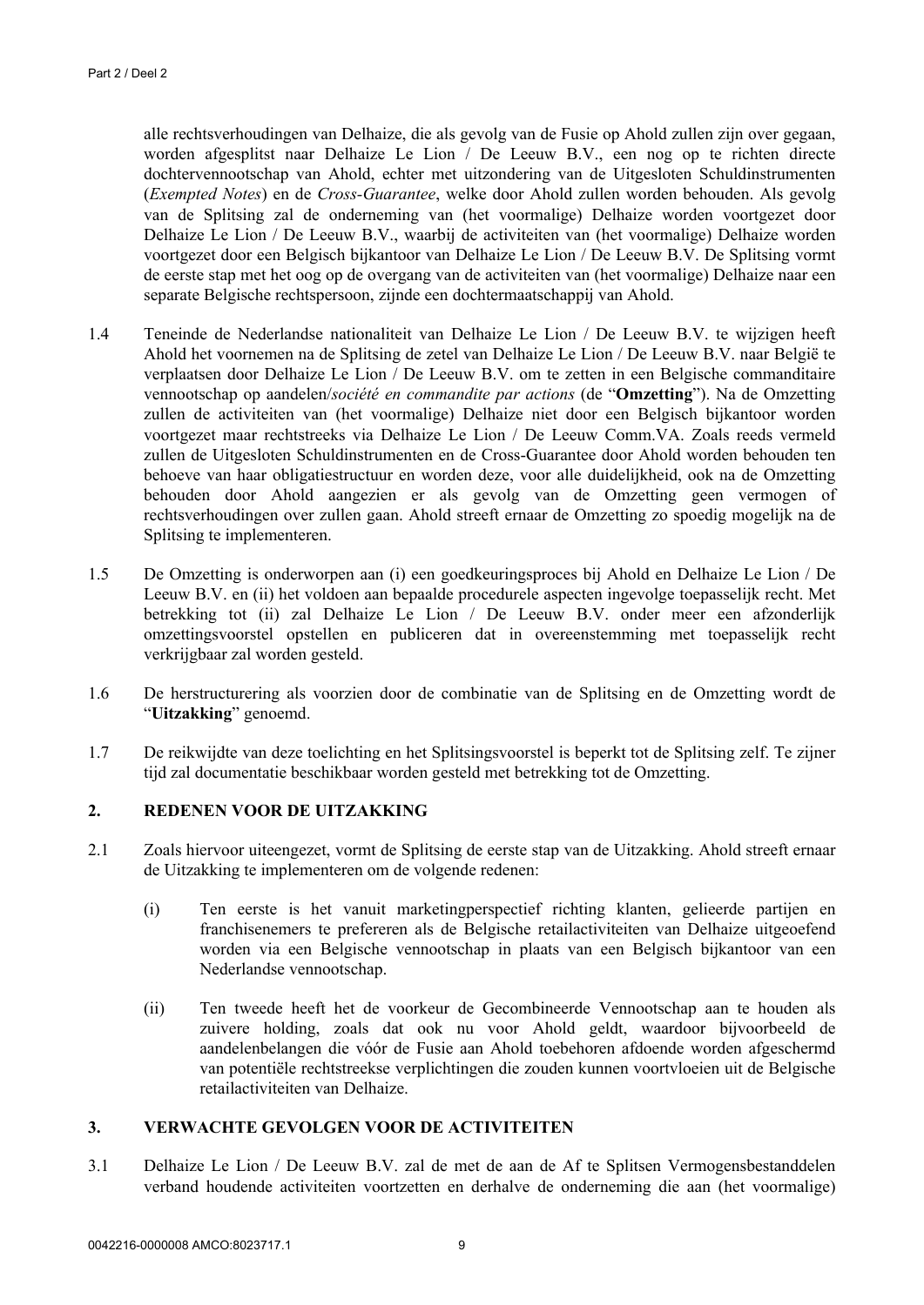alle rechtsverhoudingen van Delhaize, die als gevolg van de Fusie op Ahold zullen zijn over gegaan, worden afgesplitst naar Delhaize Le Lion / De Leeuw B.V., een nog op te richten directe dochtervennootschap van Ahold, echter met uitzondering van de Uitgesloten Schuldinstrumenten (*Exempted Notes*) en de *Cross-Guarantee*, welke door Ahold zullen worden behouden. Als gevolg van de Splitsing zal de onderneming van (het voormalige) Delhaize worden voortgezet door Delhaize Le Lion / De Leeuw B.V., waarbij de activiteiten van (het voormalige) Delhaize worden voortgezet door een Belgisch bijkantoor van Delhaize Le Lion / De Leeuw B.V. De Splitsing vormt de eerste stap met het oog op de overgang van de activiteiten van (het voormalige) Delhaize naar een separate Belgische rechtspersoon, zijnde een dochtermaatschappij van Ahold.

- 1.4 Teneinde de Nederlandse nationaliteit van Delhaize Le Lion / De Leeuw B.V. te wijzigen heeft Ahold het voornemen na de Splitsing de zetel van Delhaize Le Lion / De Leeuw B.V. naar België te verplaatsen door Delhaize Le Lion / De Leeuw B.V. om te zetten in een Belgische commanditaire vennootschap op aandelen/*société en commandite par actions* (de "**Omzetting**"). Na de Omzetting zullen de activiteiten van (het voormalige) Delhaize niet door een Belgisch bijkantoor worden voortgezet maar rechtstreeks via Delhaize Le Lion / De Leeuw Comm.VA. Zoals reeds vermeld zullen de Uitgesloten Schuldinstrumenten en de Cross-Guarantee door Ahold worden behouden ten behoeve van haar obligatiestructuur en worden deze, voor alle duidelijkheid, ook na de Omzetting behouden door Ahold aangezien er als gevolg van de Omzetting geen vermogen of rechtsverhoudingen over zullen gaan. Ahold streeft ernaar de Omzetting zo spoedig mogelijk na de Splitsing te implementeren.
- 1.5 De Omzetting is onderworpen aan (i) een goedkeuringsproces bij Ahold en Delhaize Le Lion / De Leeuw B.V. en (ii) het voldoen aan bepaalde procedurele aspecten ingevolge toepasselijk recht. Met betrekking tot (ii) zal Delhaize Le Lion / De Leeuw B.V. onder meer een afzonderlijk omzettingsvoorstel opstellen en publiceren dat in overeenstemming met toepasselijk recht verkrijgbaar zal worden gesteld.
- 1.6 De herstructurering als voorzien door de combinatie van de Splitsing en de Omzetting wordt de "**Uitzakking**" genoemd.
- 1.7 De reikwijdte van deze toelichting en het Splitsingsvoorstel is beperkt tot de Splitsing zelf. Te zijner tijd zal documentatie beschikbaar worden gesteld met betrekking tot de Omzetting.

#### **2. REDENEN VOOR DE UITZAKKING**

- 2.1 Zoals hiervoor uiteengezet, vormt de Splitsing de eerste stap van de Uitzakking. Ahold streeft ernaar de Uitzakking te implementeren om de volgende redenen:
	- (i) Ten eerste is het vanuit marketingperspectief richting klanten, gelieerde partijen en franchisenemers te prefereren als de Belgische retailactiviteiten van Delhaize uitgeoefend worden via een Belgische vennootschap in plaats van een Belgisch bijkantoor van een Nederlandse vennootschap.
	- (ii) Ten tweede heeft het de voorkeur de Gecombineerde Vennootschap aan te houden als zuivere holding, zoals dat ook nu voor Ahold geldt, waardoor bijvoorbeeld de aandelenbelangen die vóór de Fusie aan Ahold toebehoren afdoende worden afgeschermd van potentiële rechtstreekse verplichtingen die zouden kunnen voortvloeien uit de Belgische retailactiviteiten van Delhaize.

#### **3. VERWACHTE GEVOLGEN VOOR DE ACTIVITEITEN**

3.1 Delhaize Le Lion / De Leeuw B.V. zal de met de aan de Af te Splitsen Vermogensbestanddelen verband houdende activiteiten voortzetten en derhalve de onderneming die aan (het voormalige)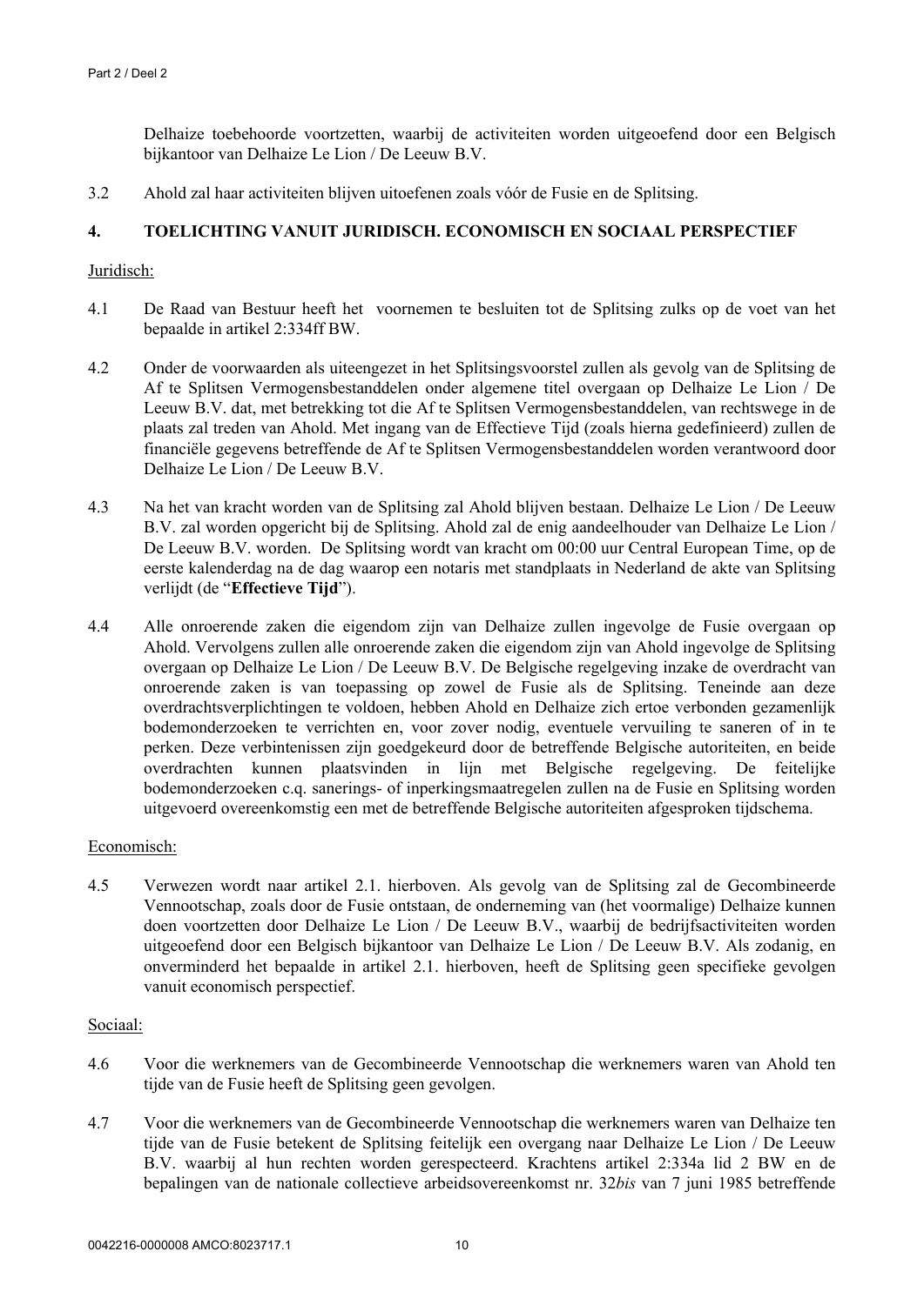Delhaize toebehoorde voortzetten, waarbij de activiteiten worden uitgeoefend door een Belgisch bijkantoor van Delhaize Le Lion / De Leeuw B.V.

3.2 Ahold zal haar activiteiten blijven uitoefenen zoals vóór de Fusie en de Splitsing.

## **4. TOELICHTING VANUIT JURIDISCH. ECONOMISCH EN SOCIAAL PERSPECTIEF**

#### Juridisch:

- 4.1 De Raad van Bestuur heeft het voornemen te besluiten tot de Splitsing zulks op de voet van het bepaalde in artikel 2:334ff BW.
- 4.2 Onder de voorwaarden als uiteengezet in het Splitsingsvoorstel zullen als gevolg van de Splitsing de Af te Splitsen Vermogensbestanddelen onder algemene titel overgaan op Delhaize Le Lion / De Leeuw B.V. dat, met betrekking tot die Af te Splitsen Vermogensbestanddelen, van rechtswege in de plaats zal treden van Ahold. Met ingang van de Effectieve Tijd (zoals hierna gedefinieerd) zullen de financiële gegevens betreffende de Af te Splitsen Vermogensbestanddelen worden verantwoord door Delhaize Le Lion / De Leeuw B.V.
- 4.3 Na het van kracht worden van de Splitsing zal Ahold blijven bestaan. Delhaize Le Lion / De Leeuw B.V. zal worden opgericht bij de Splitsing. Ahold zal de enig aandeelhouder van Delhaize Le Lion / De Leeuw B.V. worden. De Splitsing wordt van kracht om 00:00 uur Central European Time, op de eerste kalenderdag na de dag waarop een notaris met standplaats in Nederland de akte van Splitsing verlijdt (de "**Effectieve Tijd**").
- 4.4 Alle onroerende zaken die eigendom zijn van Delhaize zullen ingevolge de Fusie overgaan op Ahold. Vervolgens zullen alle onroerende zaken die eigendom zijn van Ahold ingevolge de Splitsing overgaan op Delhaize Le Lion / De Leeuw B.V. De Belgische regelgeving inzake de overdracht van onroerende zaken is van toepassing op zowel de Fusie als de Splitsing. Teneinde aan deze overdrachtsverplichtingen te voldoen, hebben Ahold en Delhaize zich ertoe verbonden gezamenlijk bodemonderzoeken te verrichten en, voor zover nodig, eventuele vervuiling te saneren of in te perken. Deze verbintenissen zijn goedgekeurd door de betreffende Belgische autoriteiten, en beide overdrachten kunnen plaatsvinden in lijn met Belgische regelgeving. De feitelijke bodemonderzoeken c.q. sanerings- of inperkingsmaatregelen zullen na de Fusie en Splitsing worden uitgevoerd overeenkomstig een met de betreffende Belgische autoriteiten afgesproken tijdschema.

#### Economisch:

4.5 Verwezen wordt naar artikel 2.1. hierboven. Als gevolg van de Splitsing zal de Gecombineerde Vennootschap, zoals door de Fusie ontstaan, de onderneming van (het voormalige) Delhaize kunnen doen voortzetten door Delhaize Le Lion / De Leeuw B.V., waarbij de bedrijfsactiviteiten worden uitgeoefend door een Belgisch bijkantoor van Delhaize Le Lion / De Leeuw B.V. Als zodanig, en onverminderd het bepaalde in artikel 2.1. hierboven, heeft de Splitsing geen specifieke gevolgen vanuit economisch perspectief.

### Sociaal:

- 4.6 Voor die werknemers van de Gecombineerde Vennootschap die werknemers waren van Ahold ten tijde van de Fusie heeft de Splitsing geen gevolgen.
- 4.7 Voor die werknemers van de Gecombineerde Vennootschap die werknemers waren van Delhaize ten tijde van de Fusie betekent de Splitsing feitelijk een overgang naar Delhaize Le Lion / De Leeuw B.V. waarbij al hun rechten worden gerespecteerd. Krachtens artikel 2:334a lid 2 BW en de bepalingen van de nationale collectieve arbeidsovereenkomst nr. 32*bis* van 7 juni 1985 betreffende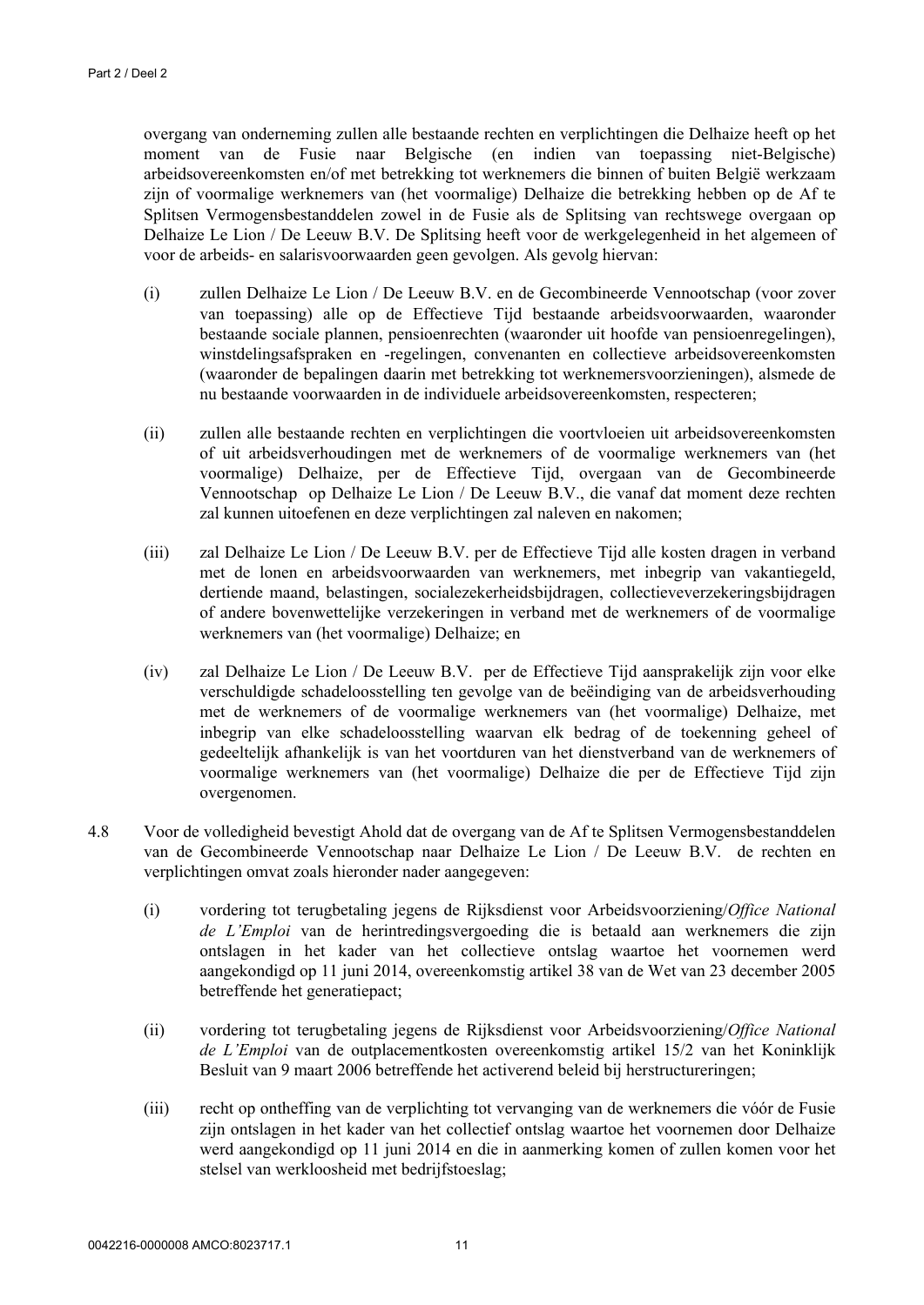overgang van onderneming zullen alle bestaande rechten en verplichtingen die Delhaize heeft op het moment van de Fusie naar Belgische (en indien van toepassing niet-Belgische) arbeidsovereenkomsten en/of met betrekking tot werknemers die binnen of buiten België werkzaam zijn of voormalige werknemers van (het voormalige) Delhaize die betrekking hebben op de Af te Splitsen Vermogensbestanddelen zowel in de Fusie als de Splitsing van rechtswege overgaan op Delhaize Le Lion / De Leeuw B.V. De Splitsing heeft voor de werkgelegenheid in het algemeen of voor de arbeids- en salarisvoorwaarden geen gevolgen. Als gevolg hiervan:

- (i) zullen Delhaize Le Lion / De Leeuw B.V. en de Gecombineerde Vennootschap (voor zover van toepassing) alle op de Effectieve Tijd bestaande arbeidsvoorwaarden, waaronder bestaande sociale plannen, pensioenrechten (waaronder uit hoofde van pensioenregelingen), winstdelingsafspraken en -regelingen, convenanten en collectieve arbeidsovereenkomsten (waaronder de bepalingen daarin met betrekking tot werknemersvoorzieningen), alsmede de nu bestaande voorwaarden in de individuele arbeidsovereenkomsten, respecteren;
- (ii) zullen alle bestaande rechten en verplichtingen die voortvloeien uit arbeidsovereenkomsten of uit arbeidsverhoudingen met de werknemers of de voormalige werknemers van (het voormalige) Delhaize, per de Effectieve Tijd, overgaan van de Gecombineerde Vennootschap op Delhaize Le Lion / De Leeuw B.V., die vanaf dat moment deze rechten zal kunnen uitoefenen en deze verplichtingen zal naleven en nakomen;
- (iii) zal Delhaize Le Lion / De Leeuw B.V. per de Effectieve Tijd alle kosten dragen in verband met de lonen en arbeidsvoorwaarden van werknemers, met inbegrip van vakantiegeld, dertiende maand, belastingen, socialezekerheidsbijdragen, collectieveverzekeringsbijdragen of andere bovenwettelijke verzekeringen in verband met de werknemers of de voormalige werknemers van (het voormalige) Delhaize; en
- (iv) zal Delhaize Le Lion / De Leeuw B.V. per de Effectieve Tijd aansprakelijk zijn voor elke verschuldigde schadeloosstelling ten gevolge van de beëindiging van de arbeidsverhouding met de werknemers of de voormalige werknemers van (het voormalige) Delhaize, met inbegrip van elke schadeloosstelling waarvan elk bedrag of de toekenning geheel of gedeeltelijk afhankelijk is van het voortduren van het dienstverband van de werknemers of voormalige werknemers van (het voormalige) Delhaize die per de Effectieve Tijd zijn overgenomen.
- 4.8 Voor de volledigheid bevestigt Ahold dat de overgang van de Af te Splitsen Vermogensbestanddelen van de Gecombineerde Vennootschap naar Delhaize Le Lion / De Leeuw B.V. de rechten en verplichtingen omvat zoals hieronder nader aangegeven:
	- (i) vordering tot terugbetaling jegens de Rijksdienst voor Arbeidsvoorziening/*Office National de L'Emploi* van de herintredingsvergoeding die is betaald aan werknemers die zijn ontslagen in het kader van het collectieve ontslag waartoe het voornemen werd aangekondigd op 11 juni 2014, overeenkomstig artikel 38 van de Wet van 23 december 2005 betreffende het generatiepact;
	- (ii) vordering tot terugbetaling jegens de Rijksdienst voor Arbeidsvoorziening/*Office National de L'Emploi* van de outplacementkosten overeenkomstig artikel 15/2 van het Koninklijk Besluit van 9 maart 2006 betreffende het activerend beleid bij herstructureringen;
	- (iii) recht op ontheffing van de verplichting tot vervanging van de werknemers die vóór de Fusie zijn ontslagen in het kader van het collectief ontslag waartoe het voornemen door Delhaize werd aangekondigd op 11 juni 2014 en die in aanmerking komen of zullen komen voor het stelsel van werkloosheid met bedrijfstoeslag;